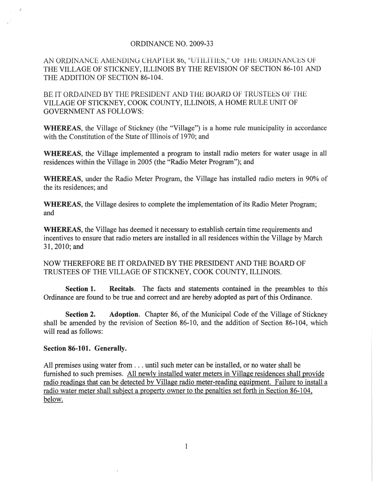## ORDINANCE NO. 2009-33

AN ORDINANCE AMENDING CHAPTER 86, "UTILITIES," OF THE ORDINANCES OF THE VILLAGE OF STICKNEY, ILLINOIS BY THE REVISION OF SECTION 86-101 AND THE ADDITION OF SECTION 86-104.

BE IT ORDAINED BY THE PRESIDENT AND THE BOARD OF TRUSTEES OF THE VILLAGE OF STICKNEY, COOK COUNTY, ILLINOIS, A HOME RULE UNIT OF GOVERNMENT AS FOLLOWS:

WHEREAS, the Village of Stickney (the "Village") is a home rule municipality in accordance with the Constitution of the State of Illinois of 1970; and

WHEREAS, the Village implemented a program to install radio meters for water usage in all residences within the Village in 2005 (the "Radio Meter Program"); and

WHEREAS, under the Radio Meter Program, the Village has installed radio meters in 90% of the its residences; and

WHEREAS, the Village desires to complete the implementation of its Radio Meter Program; and

WHEREAS, the Village has deemed it necessary to establish certain time requirements and incentives to ensure that radio meters are installed in all residences within the Village by March 31,2010; and

NOW THEREFORE BE IT ORDAINED BY THE PRESIDENT AND THE BOARD OF TRUSTEES OF THE VILLAGE OF STICKNEY, COOK COUNTY, ILLINOIS.

Section 1. Recitals. The facts and statements contained in the preambles to this Ordinance are found to be true and correct and are hereby adopted as part of this Ordinance.

Section 2. Adoption. Chapter 86, of the Municipal Code of the Village of Stickney shall be amended by the revision of Section 86-10, and the addition of Section 86-104, which will read as follows:

## Section 86-101. Generally.

All premises using water from ... until such meter can be installed, or no water shall be furnished to such premises. All newly installed water meters **in** Village residences shall provide radio readings that can be detected by Village radio meter-reading equipment. Failure to install a radio water meter shall subject a property owner to the penalties set forth in Section 86-104, below.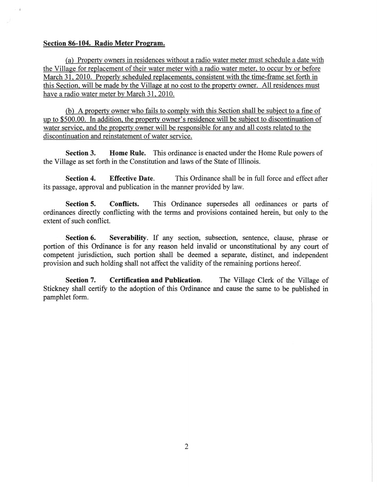## Section 86-104. Radio Meter Program.

Ca) Property owners in residences without a radio water meter must schedule a date with the Village for replacement of their water meter with a radio water meter, to occur by or before March 31, 2010. Properly scheduled replacements, consistent with the time-frame set forth in this Section, will be made by the Village at no cost to the property owner. All residences must have a radio water meter by March 31, 2010.

(b) A property owner who fails to comply with this Section shall be subject to a fine of up to \$500.00. In addition, the property owner's residence will be subject to discontinuation of water service, and the property owner will be responsible for any and all costs related to the discontinuation and reinstatement of water service.

Section 3. Home Rule. This ordinance is enacted under the Home Rule powers of the Village as set forth in the Constitution and laws of the State of Illinois.

Section 4. Effective Date. This Ordinance shall be in full force and effect after its passage, approval and publication in the manner provided by law.

Section 5. Conflicts. This Ordinance supersedes all ordinances or parts of ordinances directly conflicting with the terms and provisions contained herein, but only to the extent of such conflict.

Section 6. Severability. If any section, subsection, sentence, clause, phrase or portion of this Ordinance is for any reason held invalid or unconstitutional by any court of competent jurisdiction, such portion shall be deemed a separate, distinct, and independent provision and such holding shall not affect the validity of the remaining portions hereof.

Section 7. Certification and Publication. The Village Clerk of the Village of Stickney shall certify to the adoption of this Ordinance and cause the same to be published in pamphlet form.